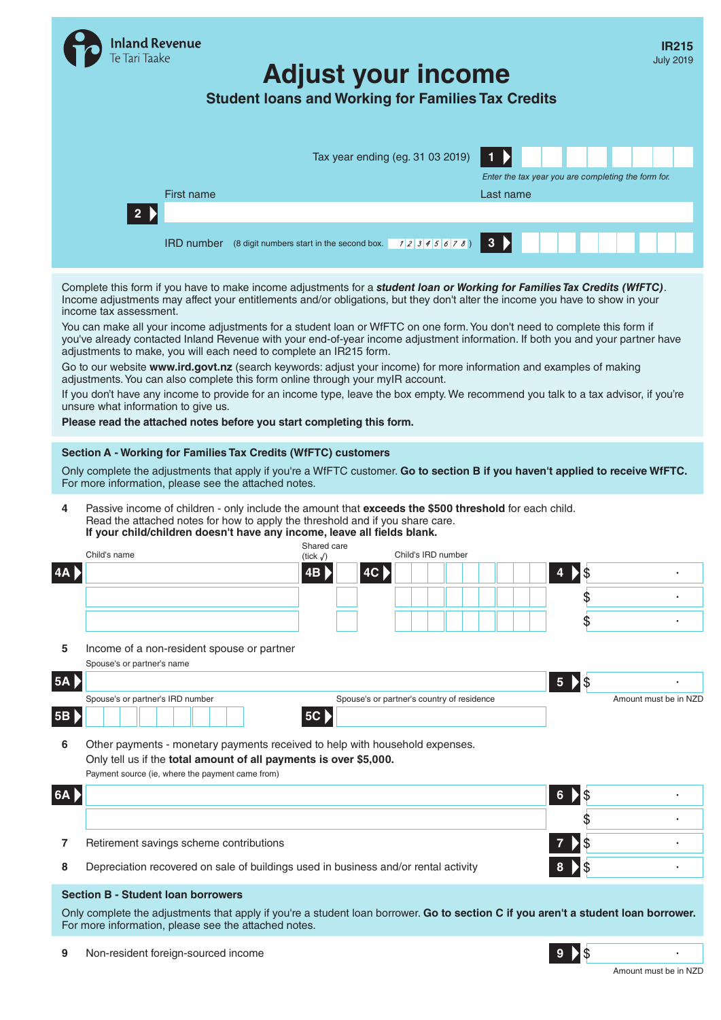|      | Inland Revenue<br>e Tari Taake                                                                                                                                                                                                                                                                                                                                                                                                                                                                                                                                                                                                                                                                                                                                                                                                                                                                                                                                                                                                                                                          |                                                             | <b>Student loans and Working for Families Tax Credits</b> | <b>Adjust your income</b>        |                                            |                    |  |              |                 |                                                     | <b>IR215</b><br><b>July 2019</b> |
|------|-----------------------------------------------------------------------------------------------------------------------------------------------------------------------------------------------------------------------------------------------------------------------------------------------------------------------------------------------------------------------------------------------------------------------------------------------------------------------------------------------------------------------------------------------------------------------------------------------------------------------------------------------------------------------------------------------------------------------------------------------------------------------------------------------------------------------------------------------------------------------------------------------------------------------------------------------------------------------------------------------------------------------------------------------------------------------------------------|-------------------------------------------------------------|-----------------------------------------------------------|----------------------------------|--------------------------------------------|--------------------|--|--------------|-----------------|-----------------------------------------------------|----------------------------------|
|      |                                                                                                                                                                                                                                                                                                                                                                                                                                                                                                                                                                                                                                                                                                                                                                                                                                                                                                                                                                                                                                                                                         |                                                             |                                                           |                                  | Tax year ending (eg. 31 03 2019)           |                    |  | 1            |                 | Enter the tax year you are completing the form for. |                                  |
|      | 2)                                                                                                                                                                                                                                                                                                                                                                                                                                                                                                                                                                                                                                                                                                                                                                                                                                                                                                                                                                                                                                                                                      | First name                                                  |                                                           |                                  |                                            |                    |  | Last name    |                 |                                                     |                                  |
|      |                                                                                                                                                                                                                                                                                                                                                                                                                                                                                                                                                                                                                                                                                                                                                                                                                                                                                                                                                                                                                                                                                         | <b>IRD number</b> (8 digit numbers start in the second box. |                                                           |                                  |                                            | 12345678)          |  | $\mathbf{3}$ |                 |                                                     |                                  |
|      | Complete this form if you have to make income adjustments for a student loan or Working for Families Tax Credits (WfFTC).<br>Income adjustments may affect your entitlements and/or obligations, but they don't alter the income you have to show in your<br>income tax assessment.<br>You can make all your income adjustments for a student loan or WfFTC on one form. You don't need to complete this form if<br>you've already contacted Inland Revenue with your end-of-year income adjustment information. If both you and your partner have<br>adjustments to make, you will each need to complete an IR215 form.<br>Go to our website www.ird.govt.nz (search keywords: adjust your income) for more information and examples of making<br>adjustments. You can also complete this form online through your myIR account.<br>If you don't have any income to provide for an income type, leave the box empty. We recommend you talk to a tax advisor, if you're<br>unsure what information to give us.<br>Please read the attached notes before you start completing this form. |                                                             |                                                           |                                  |                                            |                    |  |              |                 |                                                     |                                  |
| 4    | Section A - Working for Families Tax Credits (WfFTC) customers<br>Only complete the adjustments that apply if you're a WfFTC customer. Go to section B if you haven't applied to receive WfFTC.<br>For more information, please see the attached notes.<br>Passive income of children - only include the amount that exceeds the \$500 threshold for each child.<br>Read the attached notes for how to apply the threshold and if you share care.<br>If your child/children doesn't have any income, leave all fields blank.                                                                                                                                                                                                                                                                                                                                                                                                                                                                                                                                                            |                                                             |                                                           |                                  |                                            |                    |  |              |                 |                                                     |                                  |
|      | Child's name                                                                                                                                                                                                                                                                                                                                                                                                                                                                                                                                                                                                                                                                                                                                                                                                                                                                                                                                                                                                                                                                            |                                                             |                                                           | Shared care<br>(tick $\sqrt{}$ ) |                                            | Child's IRD number |  |              |                 |                                                     |                                  |
|      |                                                                                                                                                                                                                                                                                                                                                                                                                                                                                                                                                                                                                                                                                                                                                                                                                                                                                                                                                                                                                                                                                         |                                                             |                                                           | $\overline{AB}$                  | 4C                                         |                    |  |              | 4               | \$                                                  |                                  |
|      |                                                                                                                                                                                                                                                                                                                                                                                                                                                                                                                                                                                                                                                                                                                                                                                                                                                                                                                                                                                                                                                                                         |                                                             |                                                           |                                  |                                            |                    |  |              |                 | \$                                                  |                                  |
|      |                                                                                                                                                                                                                                                                                                                                                                                                                                                                                                                                                                                                                                                                                                                                                                                                                                                                                                                                                                                                                                                                                         |                                                             |                                                           |                                  |                                            |                    |  |              |                 | \$                                                  |                                  |
| 5    | Income of a non-resident spouse or partner                                                                                                                                                                                                                                                                                                                                                                                                                                                                                                                                                                                                                                                                                                                                                                                                                                                                                                                                                                                                                                              |                                                             |                                                           |                                  |                                            |                    |  |              |                 |                                                     |                                  |
| 5A D | Spouse's or partner's name                                                                                                                                                                                                                                                                                                                                                                                                                                                                                                                                                                                                                                                                                                                                                                                                                                                                                                                                                                                                                                                              |                                                             |                                                           |                                  |                                            |                    |  |              | $5\phantom{.0}$ | \$                                                  |                                  |
|      | Spouse's or partner's IRD number                                                                                                                                                                                                                                                                                                                                                                                                                                                                                                                                                                                                                                                                                                                                                                                                                                                                                                                                                                                                                                                        |                                                             |                                                           |                                  | Spouse's or partner's country of residence |                    |  |              |                 | Amount must be in NZD                               |                                  |
| 5B   |                                                                                                                                                                                                                                                                                                                                                                                                                                                                                                                                                                                                                                                                                                                                                                                                                                                                                                                                                                                                                                                                                         |                                                             |                                                           | <b>5C</b>                        |                                            |                    |  |              |                 |                                                     |                                  |
| 6    | Other payments - monetary payments received to help with household expenses.<br>Only tell us if the total amount of all payments is over \$5,000.<br>Payment source (ie, where the payment came from)                                                                                                                                                                                                                                                                                                                                                                                                                                                                                                                                                                                                                                                                                                                                                                                                                                                                                   |                                                             |                                                           |                                  |                                            |                    |  |              |                 |                                                     |                                  |
| 6A   |                                                                                                                                                                                                                                                                                                                                                                                                                                                                                                                                                                                                                                                                                                                                                                                                                                                                                                                                                                                                                                                                                         |                                                             |                                                           |                                  |                                            |                    |  |              | 6               | \$                                                  |                                  |
|      |                                                                                                                                                                                                                                                                                                                                                                                                                                                                                                                                                                                                                                                                                                                                                                                                                                                                                                                                                                                                                                                                                         |                                                             |                                                           |                                  |                                            |                    |  |              |                 |                                                     |                                  |
| 7    | Retirement savings scheme contributions                                                                                                                                                                                                                                                                                                                                                                                                                                                                                                                                                                                                                                                                                                                                                                                                                                                                                                                                                                                                                                                 |                                                             |                                                           |                                  |                                            |                    |  |              |                 |                                                     |                                  |
| 8    | Depreciation recovered on sale of buildings used in business and/or rental activity                                                                                                                                                                                                                                                                                                                                                                                                                                                                                                                                                                                                                                                                                                                                                                                                                                                                                                                                                                                                     |                                                             |                                                           |                                  |                                            |                    |  |              |                 | \$                                                  |                                  |
|      | <b>Section B - Student loan borrowers</b>                                                                                                                                                                                                                                                                                                                                                                                                                                                                                                                                                                                                                                                                                                                                                                                                                                                                                                                                                                                                                                               |                                                             |                                                           |                                  |                                            |                    |  |              |                 |                                                     |                                  |
|      | Only complete the adjustments that apply if you're a student loan borrower. Go to section C if you aren't a student loan borrower.<br>For more information, please see the attached notes.                                                                                                                                                                                                                                                                                                                                                                                                                                                                                                                                                                                                                                                                                                                                                                                                                                                                                              |                                                             |                                                           |                                  |                                            |                    |  |              |                 |                                                     |                                  |
| 9    | Non-resident foreign-sourced income                                                                                                                                                                                                                                                                                                                                                                                                                                                                                                                                                                                                                                                                                                                                                                                                                                                                                                                                                                                                                                                     |                                                             |                                                           |                                  |                                            |                    |  |              |                 | \$                                                  |                                  |

Amount must be in NZD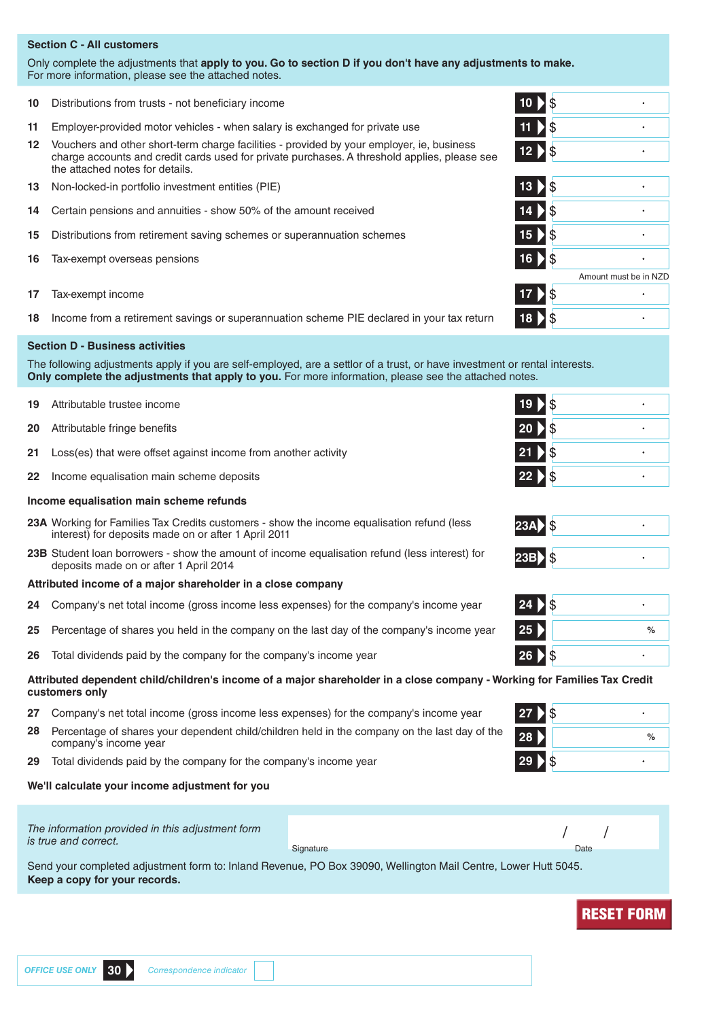# **Section C - All customers**

Only complete the adjustments that **apply to you. Go to section D if you don't have any adjustments to make.** For more information, please see the attached notes.

- **10** Distributions from trusts not beneficiary income **10**
- **11** Employer-provided motor vehicles when salary is exchanged for private use **11**
- **12** Vouchers and other short-term charge facilities provided by your employer, ie, business charge accounts and credit cards used for private purchases. A threshold applies, please see the attached notes for details.
- **13** Non-locked-in portfolio investment entities (PIE) **13**
- **14** Certain pensions and annuities show 50% of the amount received **14**
- **15** Distributions from retirement saving schemes or superannuation schemes **15**
- **16** Tax-exempt overseas pensions **16**
- **17** Tax-exempt income **17**
- **18** Income from a retirement savings or superannuation scheme PIE declared in your tax return **18**

## **Section D - Business activities**

The following adjustments apply if you are self-employed, are a settlor of a trust, or have investment or rental interests. **Only complete the adjustments that apply to you.** For more information, please see the attached notes.

- **19** Attributable trustee income **19**
- **20** Attributable fringe benefits **20**
- **21** Loss(es) that were offset against income from another activity **21**
- **22** Income equalisation main scheme deposits **22**

# **Income equalisation main scheme refunds**

- **23A** Working for Families Tax Credits customers show the income equalisation refund (less interest) for deposits made on or after 1 April 2011
- **23B** Student loan borrowers show the amount of income equalisation refund (less interest) for deposits made on or after 1 April 2014 **23B**
- **Attributed income of a major shareholder in a close company**
- **24** Company's net total income (gross income less expenses) for the company's income year **24**
- **25** Percentage of shares you held in the company on the last day of the company's income year **25 %**
- **26** Total dividends paid by the company for the company's income year **26**

# **Attributed dependent child/children's income of a major shareholder in a close company - Working for Families Tax Credit customers only**

- **27** Company's net total income (gross income less expenses) for the company's income year **27**
- **28** Percentage of shares your dependent child/children held in the company on the last day of the company's income year **<sup>28</sup> %**
- **29** Total dividends paid by the company for the company's income year **29**

# **We'll calculate your income adjustment for you**

| The information provided in this adjustment form<br>is true and correct. |           |      |  |
|--------------------------------------------------------------------------|-----------|------|--|
|                                                                          | Signature | Date |  |

Send your completed adjustment form to: Inland Revenue, PO Box 39090, Wellington Mail Centre, Lower Hutt 5045. **Keep a copy for your records.**

| $10\overline{\smash{\big)}\,}\$  |  |
|----------------------------------|--|
| $11$ $\overline{\phantom{1}}$ \$ |  |
| $12$ $\overline{\phantom{1}}$ \$ |  |

| 13 <sup>°</sup><br>$\dot{\mathcal{S}}$<br>Þ |                       |
|---------------------------------------------|-----------------------|
| 14<br>\$                                    |                       |
| 15 <sup>°</sup><br>\$                       |                       |
| 16 > \$                                     |                       |
|                                             | Amount must be in NZD |
| $17$ $\sqrt{$}$                             |                       |
| 18                                          |                       |



| 23A |  |
|-----|--|
| クマミ |  |

| $\mathcal{S}$<br>24 |      |
|---------------------|------|
| 25                  | $\%$ |
| $\mathcal{L}$<br>26 |      |

| \$<br>27 <sub>2</sub> |      |
|-----------------------|------|
| 28                    | $\%$ |
| 29                    |      |

|                                             | <b>RESET FORM</b> |
|---------------------------------------------|-------------------|
|                                             |                   |
| OFFICE USE ONLY 30 Correspondence indicator |                   |

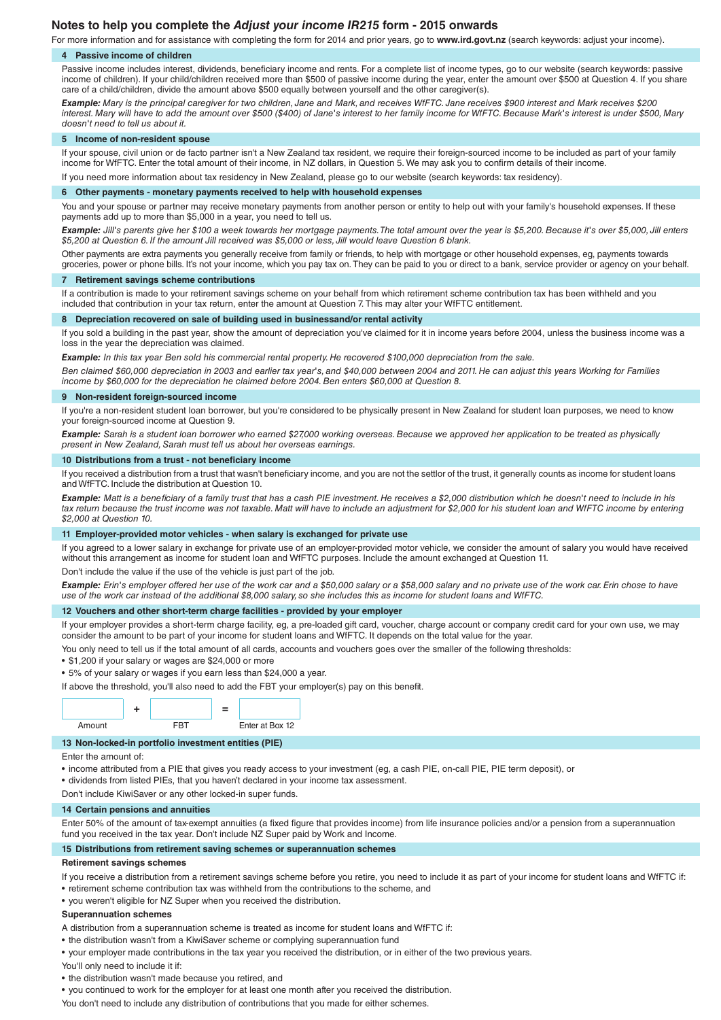# **Notes to help you complete the** *Adjust your income IR215* **form - 2015 onwards**

For more information and for assistance with completing the form for 2014 and prior years, go to **www.ird.govt.nz** (search keywords: adjust your income). **4 Passive income of children**

Passive income includes interest, dividends, beneficiary income and rents. For a complete list of income types, go to our website (search keywords: passive income of children). If your child/children received more than \$500 of passive income during the year, enter the amount over \$500 at Question 4. If you share care of a child/children, divide the amount above \$500 equally between yourself and the other caregiver(s).

*Example: Mary is the principal caregiver for two children, Jane and Mark, and receives WfFTC. Jane receives \$900 interest and Mark receives \$200 interest. Mary will have to add the amount over \$500 (\$400) of Jane's interest to her family income for WfFTC. Because Mark's interest is under \$500, Mary doesn't need to tell us about it.*

#### **5 Income of non-resident spouse**

If your spouse, civil union or de facto partner isn't a New Zealand tax resident, we require their foreign-sourced income to be included as part of your family income for WfFTC. Enter the total amount of their income, in NZ dollars, in Question 5. We may ask you to confirm details of their income.

If you need more information about tax residency in New Zealand, please go to our website (search keywords: tax residency).

# **6 Other payments - monetary payments received to help with household expenses**

You and your spouse or partner may receive monetary payments from another person or entity to help out with your family's household expenses. If these payments add up to more than \$5,000 in a year, you need to tell us.

*Example: Jill's parents give her \$100 a week towards her mortgage payments. The total amount over the year is \$5,200. Because it's over \$5,000, Jill enters \$5,200 at Question 6. If the amount Jill received was \$5,000 or less, Jill would leave Question 6 blank.*

Other payments are extra payments you generally receive from family or friends, to help with mortgage or other household expenses, eg, payments towards groceries, power or phone bills. It's not your income, which you pay tax on. They can be paid to you or direct to a bank, service provider or agency on your behalf.

#### **7 Retirement savings scheme contributions**

If a contribution is made to your retirement savings scheme on your behalf from which retirement scheme contribution tax has been withheld and you included that contribution in your tax return, enter the amount at Question 7. This may alter your WfFTC entitlement.

#### **8 Depreciation recovered on sale of building used in businessand/or rental activity**

If you sold a building in the past year, show the amount of depreciation you've claimed for it in income years before 2004, unless the business income was a loss in the year the depreciation was claimed.

*Example: In this tax year Ben sold his commercial rental property. He recovered \$100,000 depreciation from the sale.*

Ben claimed \$60,000 depreciation in 2003 and earlier tax year's, and \$40,000 between 2004 and 2011. He can adjust this years Working for Families *income by \$60,000 for the depreciation he claimed before 2004. Ben enters \$60,000 at Question 8.*

#### **9 Non-resident foreign-sourced income**

If you're a non-resident student loan borrower, but you're considered to be physically present in New Zealand for student loan purposes, we need to know your foreign-sourced income at Question 9.

*Example: Sarah is a student loan borrower who earned \$27,000 working overseas. Because we approved her application to be treated as physically present in New Zealand, Sarah must tell us about her overseas earnings.*

### **10 Distributions from a trust - not beneficiary income**

If you received a distribution from a trust that wasn't beneficiary income, and you are not the settlor of the trust, it generally counts as income for student loans and WfFTC. Include the distribution at Question 10.

*Example: Matt is a beneficiary of a family trust that has a cash PIE investment. He receives a \$2,000 distribution which he doesn't need to include in his tax return because the trust income was not taxable. Matt will have to include an adjustment for \$2,000 for his student loan and WfFTC income by entering \$2,000 at Question 10.*

# **11 Employer-provided motor vehicles - when salary is exchanged for private use**

If you agreed to a lower salary in exchange for private use of an employer-provided motor vehicle, we consider the amount of salary you would have received without this arrangement as income for student loan and WfFTC purposes. Include the amount exchanged at Question 11.

Don't include the value if the use of the vehicle is just part of the job.

*Example: Erin's employer offered her use of the work car and a \$50,000 salary or a \$58,000 salary and no private use of the work car. Erin chose to have use of the work car instead of the additional \$8,000 salary, so she includes this as income for student loans and WfFTC.*

#### **12 Vouchers and other short-term charge facilities - provided by your employer**

If your employer provides a short-term charge facility, eg, a pre-loaded gift card, voucher, charge account or company credit card for your own use, we may consider the amount to be part of your income for student loans and WfFTC. It depends on the total value for the year.

You only need to tell us if the total amount of all cards, accounts and vouchers goes over the smaller of the following thresholds:

- \$1,200 if your salary or wages are \$24,000 or more
- 5% of your salary or wages if you earn less than \$24,000 a year.

If above the threshold, you'll also need to add the FBT your employer(s) pay on this benefit.



## **13 Non-locked-in portfolio investment entities (PIE)**

Enter the amount of:

- income attributed from a PIE that gives you ready access to your investment (eg, a cash PIE, on-call PIE, PIE term deposit), or
- dividends from listed PIEs, that you haven't declared in your income tax assessment.

Don't include KiwiSaver or any other locked-in super funds.

### **14 Certain pensions and annuities**

Enter 50% of the amount of tax-exempt annuities (a fixed figure that provides income) from life insurance policies and/or a pension from a superannuation fund you received in the tax year. Don't include NZ Super paid by Work and Income.

#### **15 Distributions from retirement saving schemes or superannuation schemes**

#### **Retirement savings schemes**

If you receive a distribution from a retirement savings scheme before you retire, you need to include it as part of your income for student loans and WfFTC if: • retirement scheme contribution tax was withheld from the contributions to the scheme, and

• you weren't eligible for NZ Super when you received the distribution.

#### **Superannuation schemes**

A distribution from a superannuation scheme is treated as income for student loans and WfFTC if:

- the distribution wasn't from a KiwiSaver scheme or complying superannuation fund
- your employer made contributions in the tax year you received the distribution, or in either of the two previous years.

You'll only need to include it if:

- the distribution wasn't made because you retired, and
- you continued to work for the employer for at least one month after you received the distribution.

You don't need to include any distribution of contributions that you made for either schemes.